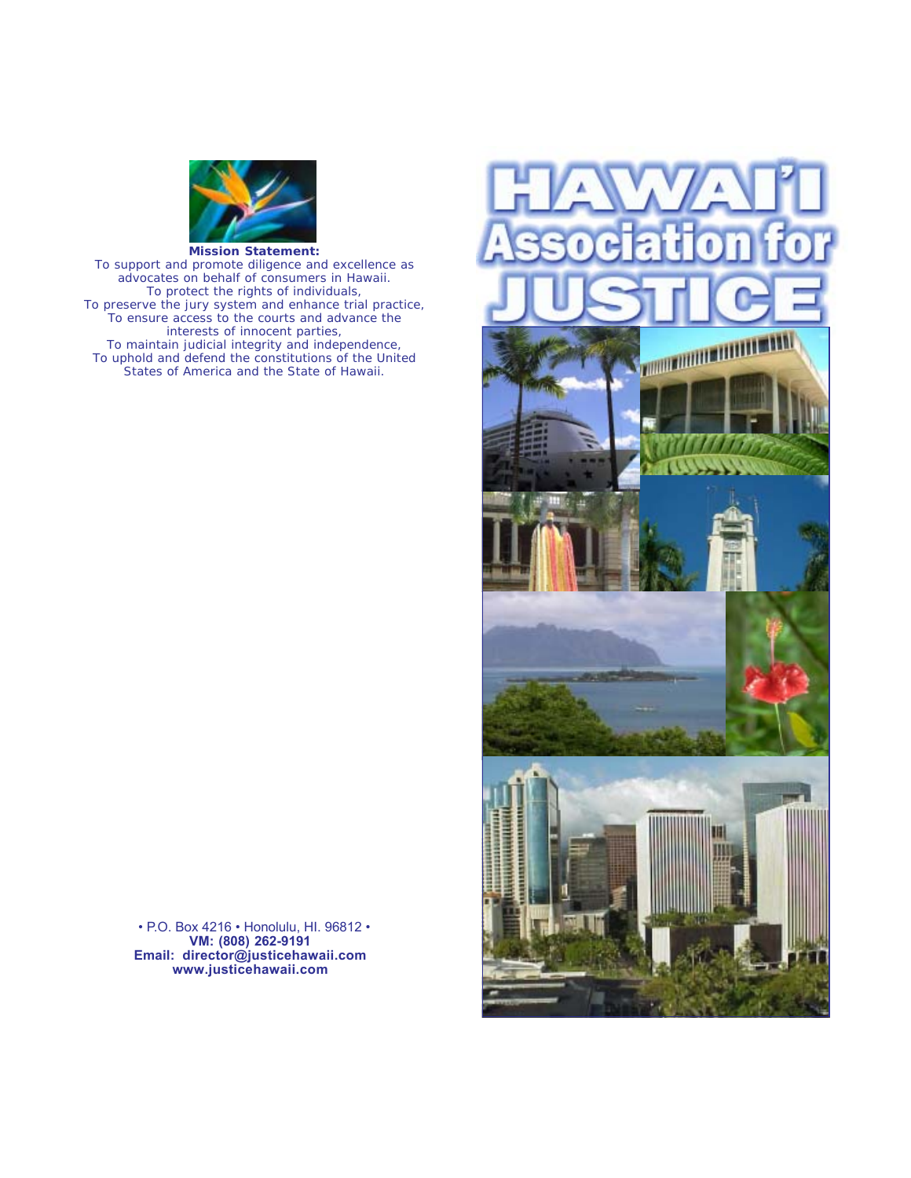

*To support and promote diligence and excellence as advocates on behalf of consumers in Hawaii. To protect the rights of individuals, To preserve the jury system and enhance trial practice, To ensure access to the courts and advance the interests of innocent parties, To maintain judicial integrity and independence, To uphold and defend the constitutions of the United States of America and the State of Hawaii.*

> • P.O. Box 4216 • Honolulu, HI. 96812 • **VM: (808) 262-9191 Email: director@justicehawaii.com www.justicehawaii.com**